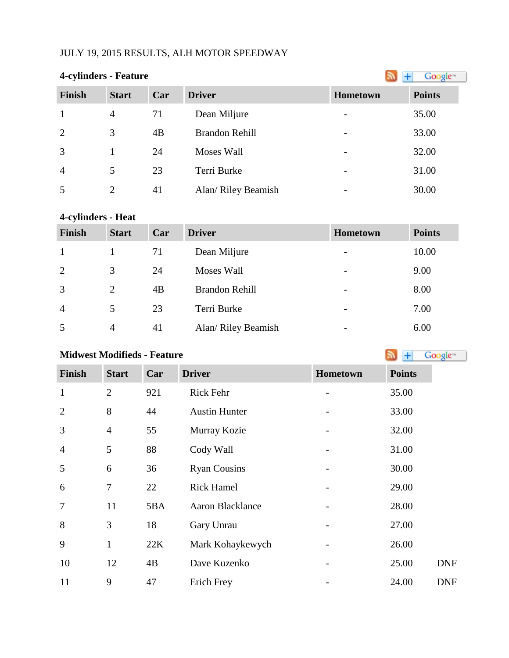## JULY 19, 2015 RESULTS, ALH MOTOR SPEEDWAY

|                | <b>4-cylinders - Feature</b> |     |                       |                          |               |
|----------------|------------------------------|-----|-----------------------|--------------------------|---------------|
| <b>Finish</b>  | <b>Start</b>                 | Car | <b>Driver</b>         | <b>Hometown</b>          | <b>Points</b> |
| $\mathbf{1}$   | $\overline{4}$               | 71  | Dean Miljure          | $\overline{\phantom{a}}$ | 35.00         |
| 2              | 3                            | 4B  | <b>Brandon Rehill</b> | $\overline{\phantom{a}}$ | 33.00         |
| $\overline{3}$ |                              | 24  | Moses Wall            | $\overline{\phantom{a}}$ | 32.00         |
| $\overline{4}$ | 5                            | 23  | Terri Burke           | $\overline{\phantom{a}}$ | 31.00         |
| 5              | 2                            | 41  | Alan/ Riley Beamish   |                          | 30.00         |

# **4-cylinders - Heat**

| <b>Finish</b>  | <b>Start</b>   | Car | <b>Driver</b>       | <b>Hometown</b>          | <b>Points</b> |
|----------------|----------------|-----|---------------------|--------------------------|---------------|
|                |                | 71  | Dean Miljure        | $\overline{\phantom{a}}$ | 10.00         |
| 2              | 3              | 24  | Moses Wall          | $\overline{\phantom{a}}$ | 9.00          |
| 3              | $\overline{2}$ | 4B  | Brandon Rehill      | $\overline{\phantom{a}}$ | 8.00          |
| $\overline{4}$ | 5              | 23  | Terri Burke         | $\overline{\phantom{a}}$ | 7.00          |
| 5              | $\overline{4}$ | 41  | Alan/ Riley Beamish | $\overline{\phantom{a}}$ | 6.00          |

# **MidwestModifieds - Feature Algebra 2019 Cooking the Society of Algebra 2019 Algebra** 2019 **Algebra** 2019 **Algebra** 2019 **Algebra** 2019 **Algebra** 2019 **Algebra** 2019 **Algebra** 2019 **Algebra** 2019 **Algebra** 2019 **Alg**

| <b>Finish</b>  | <b>Start</b>   | Car | <b>Driver</b>           | Hometown | <b>Points</b> |
|----------------|----------------|-----|-------------------------|----------|---------------|
| $\mathbf{1}$   | $\overline{2}$ | 921 | Rick Fehr               |          | 35.00         |
| $\overline{2}$ | 8              | 44  | <b>Austin Hunter</b>    |          | 33.00         |
| 3              | $\overline{4}$ | 55  | Murray Kozie            |          | 32.00         |
| $\overline{4}$ | 5              | 88  | Cody Wall               |          | 31.00         |
| 5              | 6              | 36  | <b>Ryan Cousins</b>     |          | 30.00         |
| 6              | 7              | 22  | <b>Rick Hamel</b>       |          | 29.00         |
| 7              | 11             | 5BA | <b>Aaron Blacklance</b> |          | 28.00         |
| 8              | 3              | 18  | Gary Unrau              |          | 27.00         |
| 9              | $\mathbf{1}$   | 22K | Mark Kohaykewych        |          | 26.00         |
| 10             | 12             | 4B  | Dave Kuzenko            |          | 25.00         |
| 11             | 9              | 47  | Erich Frey              |          | 24.00         |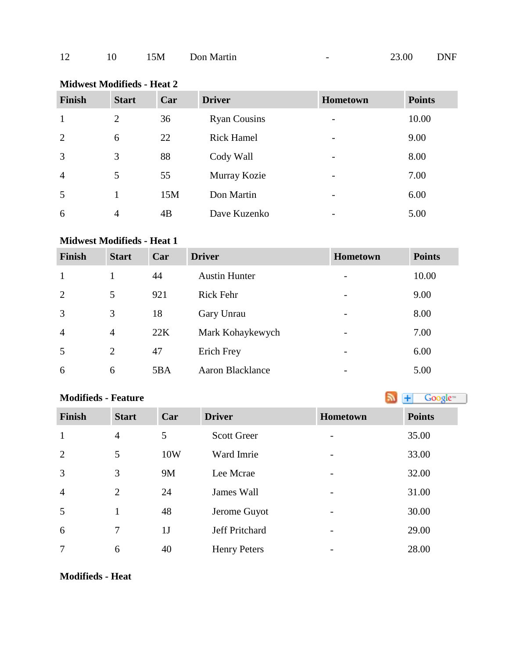| Finish         | <b>Start</b>   | Car | <b>Driver</b>       | Hometown                 | <b>Points</b> |
|----------------|----------------|-----|---------------------|--------------------------|---------------|
| $\mathbf{1}$   | $\overline{2}$ | 36  | <b>Ryan Cousins</b> | $\overline{\phantom{a}}$ | 10.00         |
| 2              | 6              | 22  | <b>Rick Hamel</b>   | $\overline{\phantom{a}}$ | 9.00          |
| $\overline{3}$ | 3              | 88  | Cody Wall           | $\overline{\phantom{a}}$ | 8.00          |
| $\overline{4}$ | 5              | 55  | Murray Kozie        | $\overline{\phantom{a}}$ | 7.00          |
| 5              |                | 15M | Don Martin          | $\overline{\phantom{a}}$ | 6.00          |
| 6              | $\overline{4}$ | 4B  | Dave Kuzenko        | $\overline{\phantom{a}}$ | 5.00          |

### **Midwest Modifieds - Heat 2**

#### **Midwest Modifieds - Heat 1**

| <b>Finish</b>  | <b>Start</b>   | Car | <b>Driver</b>        | <b>Hometown</b>          | <b>Points</b> |
|----------------|----------------|-----|----------------------|--------------------------|---------------|
| $\mathbf{1}$   |                | 44  | <b>Austin Hunter</b> | -                        | 10.00         |
| 2              | 5              | 921 | <b>Rick Fehr</b>     | -                        | 9.00          |
| 3              | 3              | 18  | Gary Unrau           | $\overline{\phantom{0}}$ | 8.00          |
| $\overline{4}$ | $\overline{4}$ | 22K | Mark Kohaykewych     | $\overline{\phantom{0}}$ | 7.00          |
| 5              | $\overline{2}$ | 47  | Erich Frey           | -                        | 6.00          |
| 6              | 6              | 5BA | Aaron Blacklance     |                          | 5.00          |

#### **Modifieds- Feature Modifieds - Feature**

| <b>Finish</b>  | <b>Start</b>   | Car            | <b>Driver</b>       | <b>Hometown</b> | <b>Points</b> |
|----------------|----------------|----------------|---------------------|-----------------|---------------|
| $\mathbf{1}$   | $\overline{4}$ | 5              | <b>Scott Greer</b>  |                 | 35.00         |
| 2              | 5              | 10W            | Ward Imrie          |                 | 33.00         |
| 3              | 3              | 9M             | Lee Mcrae           |                 | 32.00         |
| $\overline{4}$ | 2              | 24             | James Wall          |                 | 31.00         |
| 5              |                | 48             | Jerome Guyot        |                 | 30.00         |
| 6              | 7              | 1 <sub>J</sub> | Jeff Pritchard      |                 | 29.00         |
| 7              | 6              | 40             | <b>Henry Peters</b> |                 | 28.00         |

#### **Modifieds - Heat**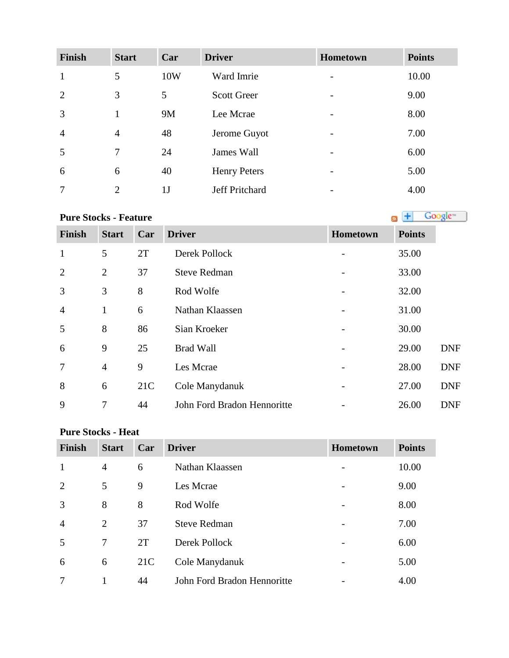| <b>Finish</b>  | <b>Start</b>   | Car            | <b>Driver</b>       | <b>Hometown</b>          | <b>Points</b> |
|----------------|----------------|----------------|---------------------|--------------------------|---------------|
| $\mathbf{1}$   | 5              | 10W            | Ward Imrie          | $\overline{\phantom{a}}$ | 10.00         |
| 2              | 3              | 5              | <b>Scott Greer</b>  |                          | 9.00          |
| 3              | 1              | 9M             | Lee Mcrae           |                          | 8.00          |
| $\overline{4}$ | $\overline{4}$ | 48             | Jerome Guyot        |                          | 7.00          |
| 5              | 7              | 24             | James Wall          |                          | 6.00          |
| 6              | 6              | 40             | <b>Henry Peters</b> | $\overline{\phantom{a}}$ | 5.00          |
| 7              | $\overline{2}$ | 1 <sub>J</sub> | Jeff Pritchard      |                          | 4.00          |

**PureStocks - Feature Constant Constant Constant Constant Constant Constant Constant Constant Constant Constant Constant Constant Constant Constant Constant Constant Constant Constant Constant Constant Constant Constant** 

| <b>Finish</b>  | <b>Start</b>   | Car | <b>Driver</b>               | Hometown                 | <b>Points</b> |            |
|----------------|----------------|-----|-----------------------------|--------------------------|---------------|------------|
| $\mathbf{1}$   | 5              | 2T  | Derek Pollock               |                          | 35.00         |            |
| $\overline{2}$ | $\overline{2}$ | 37  | <b>Steve Redman</b>         | -                        | 33.00         |            |
| 3              | 3              | 8   | Rod Wolfe                   |                          | 32.00         |            |
| $\overline{4}$ | 1              | 6   | Nathan Klaassen             |                          | 31.00         |            |
| 5              | 8              | 86  | Sian Kroeker                | $\overline{\phantom{0}}$ | 30.00         |            |
| 6              | 9              | 25  | <b>Brad Wall</b>            | $\qquad \qquad -$        | 29.00         | <b>DNF</b> |
| 7              | $\overline{4}$ | 9   | Les Mcrae                   | -                        | 28.00         | <b>DNF</b> |
| 8              | 6              | 21C | Cole Manydanuk              |                          | 27.00         | <b>DNF</b> |
| 9              | 7              | 44  | John Ford Bradon Hennoritte |                          | 26.00         | <b>DNF</b> |

## **Pure Stocks - Heat**

| <b>Finish</b>  | <b>Start</b>   | Car | <b>Driver</b>               | <b>Hometown</b> | <b>Points</b> |
|----------------|----------------|-----|-----------------------------|-----------------|---------------|
| $\mathbf{1}$   | $\overline{4}$ | 6   | Nathan Klaassen             |                 | 10.00         |
| $\overline{2}$ | 5              | 9   | Les Mcrae                   |                 | 9.00          |
| 3              | 8              | 8   | Rod Wolfe                   |                 | 8.00          |
| $\overline{4}$ | $\overline{2}$ | 37  | <b>Steve Redman</b>         |                 | 7.00          |
| 5              | 7              | 2T  | Derek Pollock               |                 | 6.00          |
| 6              | 6              | 21C | Cole Manydanuk              |                 | 5.00          |
| 7              |                | 44  | John Ford Bradon Hennoritte |                 | 4.00          |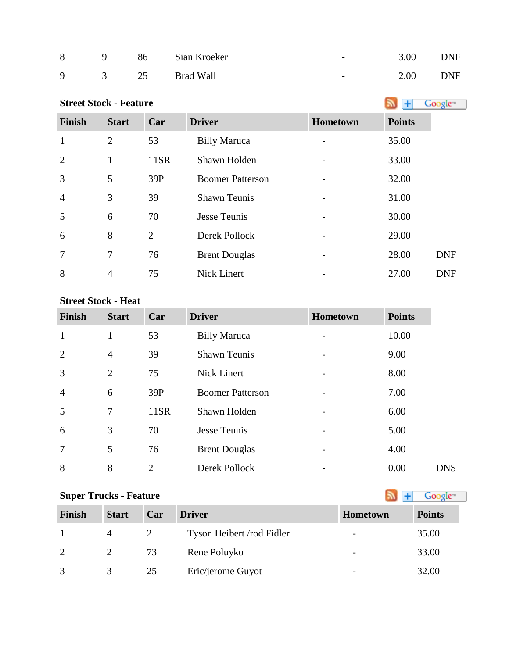| 8 | $\overline{q}$ | 86 Sian Kroeker  | $\overline{\phantom{0}}$ | 3.00 | <b>DNF</b> |
|---|----------------|------------------|--------------------------|------|------------|
|   |                | 9 3 25 Brad Wall | $\overline{\phantom{0}}$ | 2.00 | DNF        |

| <b>Street Stock - Feature</b> |                |                |                         |          |               | Google <sup>®</sup> |
|-------------------------------|----------------|----------------|-------------------------|----------|---------------|---------------------|
| <b>Finish</b>                 | <b>Start</b>   | Car            | <b>Driver</b>           | Hometown | <b>Points</b> |                     |
| $\mathbf{1}$                  | $\overline{2}$ | 53             | <b>Billy Maruca</b>     |          | 35.00         |                     |
| $\overline{2}$                | $\mathbf{1}$   | 11SR           | Shawn Holden            |          | 33.00         |                     |
| 3                             | 5              | 39P            | <b>Boomer Patterson</b> |          | 32.00         |                     |
| $\overline{4}$                | 3              | 39             | <b>Shawn Teunis</b>     |          | 31.00         |                     |
| 5                             | 6              | 70             | Jesse Teunis            |          | 30.00         |                     |
| 6                             | 8              | $\overline{2}$ | Derek Pollock           |          | 29.00         |                     |
| 7                             | 7              | 76             | <b>Brent Douglas</b>    |          | 28.00         | <b>DNF</b>          |
| 8                             | $\overline{4}$ | 75             | Nick Linert             |          | 27.00         | <b>DNF</b>          |

#### **Street Stock - Heat**

| <b>Finish</b>  | <b>Start</b>   | Car            | <b>Driver</b>           | <b>Hometown</b> | <b>Points</b>      |
|----------------|----------------|----------------|-------------------------|-----------------|--------------------|
| $\mathbf{1}$   |                | 53             | <b>Billy Maruca</b>     |                 | 10.00              |
| $\overline{2}$ | $\overline{4}$ | 39             | <b>Shawn Teunis</b>     |                 | 9.00               |
| 3              | $\overline{2}$ | 75             | <b>Nick Linert</b>      | -               | 8.00               |
| $\overline{4}$ | 6              | 39P            | <b>Boomer Patterson</b> |                 | 7.00               |
| 5              | 7              | 11SR           | Shawn Holden            |                 | 6.00               |
| 6              | 3              | 70             | <b>Jesse Teunis</b>     |                 | 5.00               |
| $\overline{7}$ | 5              | 76             | <b>Brent Douglas</b>    |                 | 4.00               |
| 8              | 8              | $\overline{2}$ | Derek Pollock           |                 | 0.00<br><b>DNS</b> |

# **SuperTrucks - Feature Super Trucks - Feature**

| <b>Finish</b> | <b>Start</b> | Car | <b>Driver</b>             | Hometown                 | <b>Points</b> |
|---------------|--------------|-----|---------------------------|--------------------------|---------------|
|               | 4            |     | Tyson Heibert /rod Fidler | $\overline{\phantom{a}}$ | 35.00         |
|               |              | 73  | Rene Poluyko              | $\overline{\phantom{a}}$ | 33.00         |
|               |              | 25  | Eric/jerome Guyot         | $\overline{\phantom{a}}$ | 32.00         |